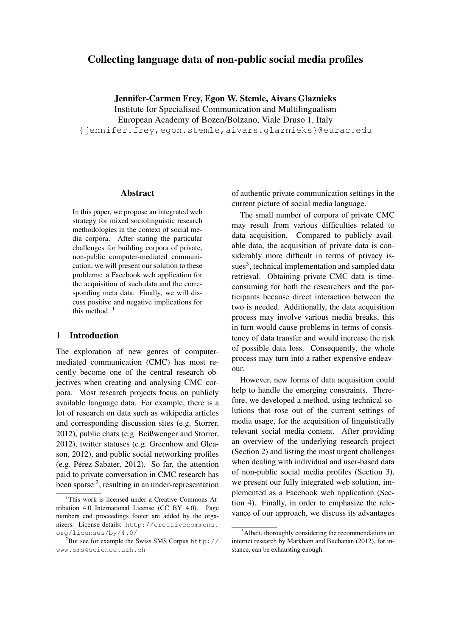# Collecting language data of non-public social media profiles

Jennifer-Carmen Frey, Egon W. Stemle, Aivars Glaznieks

Institute for Specialised Communication and Multilingualism

European Academy of Bozen/Bolzano, Viale Druso 1, Italy

{jennifer.frey,egon.stemle,aivars.glaznieks}@eurac.edu

#### Abstract

In this paper, we propose an integrated web strategy for mixed sociolinguistic research methodologies in the context of social media corpora. After stating the particular challenges for building corpora of private, non-public computer-mediated communication, we will present our solution to these problems: a Facebook web application for the acquisition of such data and the corresponding meta data. Finally, we will discuss positive and negative implications for this method.  $<sup>1</sup>$ </sup>

#### 1 Introduction

The exploration of new genres of computermediated communication (CMC) has most recently become one of the central research objectives when creating and analysing CMC corpora. Most research projects focus on publicly available language data. For example, there is a lot of research on data such as wikipedia articles and corresponding discussion sites (e.g. Storrer, 2012), public chats (e.g. Beißwenger and Storrer, 2012), twitter statuses (e.g. Greenhow and Gleason, 2012), and public social networking profiles  $(e.g. Pérez-Sabater, 2012)$ . So far, the attention paid to private conversation in CMC research has been sparse  $2$ , resulting in an under-representation

of authentic private communication settings in the current picture of social media language.

The small number of corpora of private CMC may result from various difficulties related to data acquisition. Compared to publicly available data, the acquisition of private data is considerably more difficult in terms of privacy issues<sup>3</sup>, technical implementation and sampled data retrieval. Obtaining private CMC data is timeconsuming for both the researchers and the participants because direct interaction between the two is needed. Additionally, the data acquisition process may involve various media breaks, this in turn would cause problems in terms of consistency of data transfer and would increase the risk of possible data loss. Consequently, the whole process may turn into a rather expensive endeavour.

However, new forms of data acquisition could help to handle the emerging constraints. Therefore, we developed a method, using technical solutions that rose out of the current settings of media usage, for the acquisition of linguistically relevant social media content. After providing an overview of the underlying research project (Section 2) and listing the most urgent challenges when dealing with individual and user-based data of non-public social media profiles (Section 3), we present our fully integrated web solution, implemented as a Facebook web application (Section 4). Finally, in order to emphasize the relevance of our approach, we discuss its advantages

<sup>&</sup>lt;sup>1</sup>This work is licensed under a Creative Commons Attribution 4.0 International License (CC BY 4.0). Page numbers and proceedings footer are added by the organizers. License details: http://creativecommons. org/licenses/by/4.0/

 $2$ But see for example the Swiss SMS Corpus http:// www.sms4science.uzh.ch

<sup>&</sup>lt;sup>3</sup>Albeit, thoroughly considering the recommendations on internet research by Markham and Buchanan (2012), for instance, can be exhausting enough.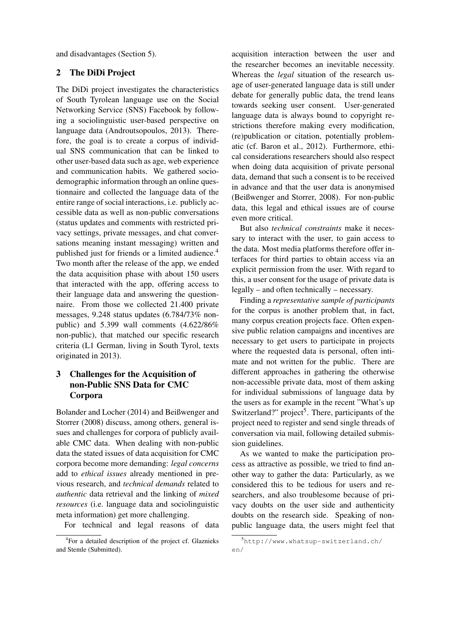and disadvantages (Section 5).

### 2 The DiDi Project

The DiDi project investigates the characteristics of South Tyrolean language use on the Social Networking Service (SNS) Facebook by following a sociolinguistic user-based perspective on language data (Androutsopoulos, 2013). Therefore, the goal is to create a corpus of individual SNS communication that can be linked to other user-based data such as age, web experience and communication habits. We gathered sociodemographic information through an online questionnaire and collected the language data of the entire range of social interactions, i.e. publicly accessible data as well as non-public conversations (status updates and comments with restricted privacy settings, private messages, and chat conversations meaning instant messaging) written and published just for friends or a limited audience.<sup>4</sup> Two month after the release of the app, we ended the data acquisition phase with about 150 users that interacted with the app, offering access to their language data and answering the questionnaire. From those we collected 21.400 private messages, 9.248 status updates (6.784/73% nonpublic) and 5.399 wall comments (4.622/86% non-public), that matched our specific research criteria (L1 German, living in South Tyrol, texts originated in 2013).

# 3 Challenges for the Acquisition of non-Public SNS Data for CMC Corpora

Bolander and Locher (2014) and Beißwenger and Storrer (2008) discuss, among others, general issues and challenges for corpora of publicly available CMC data. When dealing with non-public data the stated issues of data acquisition for CMC corpora become more demanding: *legal concerns* add to *ethical issues* already mentioned in previous research, and *technical demands* related to *authentic* data retrieval and the linking of *mixed resources* (i.e. language data and sociolinguistic meta information) get more challenging.

For technical and legal reasons of data

acquisition interaction between the user and the researcher becomes an inevitable necessity. Whereas the *legal* situation of the research usage of user-generated language data is still under debate for generally public data, the trend leans towards seeking user consent. User-generated language data is always bound to copyright restrictions therefore making every modification, (re)publication or citation, potentially problematic (cf. Baron et al., 2012). Furthermore, ethical considerations researchers should also respect when doing data acquisition of private personal data, demand that such a consent is to be received in advance and that the user data is anonymised (Beißwenger and Storrer, 2008). For non-public data, this legal and ethical issues are of course even more critical.

But also *technical constraints* make it necessary to interact with the user, to gain access to the data. Most media platforms therefore offer interfaces for third parties to obtain access via an explicit permission from the user. With regard to this, a user consent for the usage of private data is legally – and often technically – necessary.

Finding a *representative sample of participants* for the corpus is another problem that, in fact, many corpus creation projects face. Often expensive public relation campaigns and incentives are necessary to get users to participate in projects where the requested data is personal, often intimate and not written for the public. There are different approaches in gathering the otherwise non-accessible private data, most of them asking for individual submissions of language data by the users as for example in the recent "What's up Switzerland?" project<sup>5</sup>. There, participants of the project need to register and send single threads of conversation via mail, following detailed submission guidelines.

As we wanted to make the participation process as attractive as possible, we tried to find another way to gather the data: Particularly, as we considered this to be tedious for users and researchers, and also troublesome because of privacy doubts on the user side and authenticity doubts on the research side. Speaking of nonpublic language data, the users might feel that

<sup>4</sup> For a detailed description of the project cf. Glaznieks and Stemle (Submitted).

<sup>5</sup>http://www.whatsup-switzerland.ch/ en/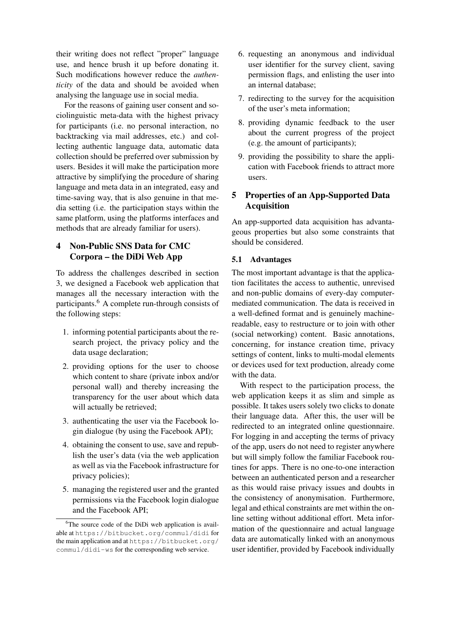their writing does not reflect "proper" language use, and hence brush it up before donating it. Such modifications however reduce the *authenticity* of the data and should be avoided when analysing the language use in social media.

For the reasons of gaining user consent and sociolinguistic meta-data with the highest privacy for participants (i.e. no personal interaction, no backtracking via mail addresses, etc.) and collecting authentic language data, automatic data collection should be preferred over submission by users. Besides it will make the participation more attractive by simplifying the procedure of sharing language and meta data in an integrated, easy and time-saving way, that is also genuine in that media setting (i.e. the participation stays within the same platform, using the platforms interfaces and methods that are already familiar for users).

### 4 Non-Public SNS Data for CMC Corpora – the DiDi Web App

To address the challenges described in section 3, we designed a Facebook web application that manages all the necessary interaction with the participants.<sup>6</sup> A complete run-through consists of the following steps:

- 1. informing potential participants about the research project, the privacy policy and the data usage declaration;
- 2. providing options for the user to choose which content to share (private inbox and/or personal wall) and thereby increasing the transparency for the user about which data will actually be retrieved;
- 3. authenticating the user via the Facebook login dialogue (by using the Facebook API);
- 4. obtaining the consent to use, save and republish the user's data (via the web application as well as via the Facebook infrastructure for privacy policies);
- 5. managing the registered user and the granted permissions via the Facebook login dialogue and the Facebook API;
- 6. requesting an anonymous and individual user identifier for the survey client, saving permission flags, and enlisting the user into an internal database;
- 7. redirecting to the survey for the acquisition of the user's meta information;
- 8. providing dynamic feedback to the user about the current progress of the project (e.g. the amount of participants);
- 9. providing the possibility to share the application with Facebook friends to attract more users.

# 5 Properties of an App-Supported Data Acquisition

An app-supported data acquisition has advantageous properties but also some constraints that should be considered.

### 5.1 Advantages

The most important advantage is that the application facilitates the access to authentic, unrevised and non-public domains of every-day computermediated communication. The data is received in a well-defined format and is genuinely machinereadable, easy to restructure or to join with other (social networking) content. Basic annotations, concerning, for instance creation time, privacy settings of content, links to multi-modal elements or devices used for text production, already come with the data.

With respect to the participation process, the web application keeps it as slim and simple as possible. It takes users solely two clicks to donate their language data. After this, the user will be redirected to an integrated online questionnaire. For logging in and accepting the terms of privacy of the app, users do not need to register anywhere but will simply follow the familiar Facebook routines for apps. There is no one-to-one interaction between an authenticated person and a researcher as this would raise privacy issues and doubts in the consistency of anonymisation. Furthermore, legal and ethical constraints are met within the online setting without additional effort. Meta information of the questionnaire and actual language data are automatically linked with an anonymous user identifier, provided by Facebook individually

<sup>&</sup>lt;sup>6</sup>The source code of the DiDi web application is available at https://bitbucket.org/commul/didi for the main application and at https://bitbucket.org/ commul/didi-ws for the corresponding web service.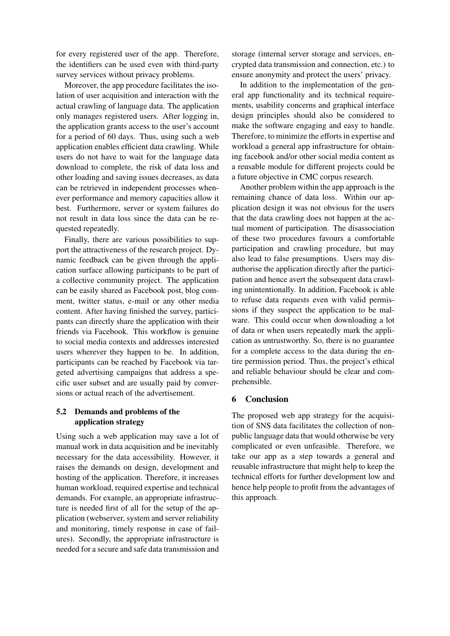for every registered user of the app. Therefore, the identifiers can be used even with third-party survey services without privacy problems.

Moreover, the app procedure facilitates the isolation of user acquisition and interaction with the actual crawling of language data. The application only manages registered users. After logging in, the application grants access to the user's account for a period of 60 days. Thus, using such a web application enables efficient data crawling. While users do not have to wait for the language data download to complete, the risk of data loss and other loading and saving issues decreases, as data can be retrieved in independent processes whenever performance and memory capacities allow it best. Furthermore, server or system failures do not result in data loss since the data can be requested repeatedly.

Finally, there are various possibilities to support the attractiveness of the research project. Dynamic feedback can be given through the application surface allowing participants to be part of a collective community project. The application can be easily shared as Facebook post, blog comment, twitter status, e-mail or any other media content. After having finished the survey, participants can directly share the application with their friends via Facebook. This workflow is genuine to social media contexts and addresses interested users wherever they happen to be. In addition, participants can be reached by Facebook via targeted advertising campaigns that address a specific user subset and are usually paid by conversions or actual reach of the advertisement.

### 5.2 Demands and problems of the application strategy

Using such a web application may save a lot of manual work in data acquisition and be inevitably necessary for the data accessibility. However, it raises the demands on design, development and hosting of the application. Therefore, it increases human workload, required expertise and technical demands. For example, an appropriate infrastructure is needed first of all for the setup of the application (webserver, system and server reliability and monitoring, timely response in case of failures). Secondly, the appropriate infrastructure is needed for a secure and safe data transmission and

storage (internal server storage and services, encrypted data transmission and connection, etc.) to ensure anonymity and protect the users' privacy.

In addition to the implementation of the general app functionality and its technical requirements, usability concerns and graphical interface design principles should also be considered to make the software engaging and easy to handle. Therefore, to minimize the efforts in expertise and workload a general app infrastructure for obtaining facebook and/or other social media content as a reusable module for different projects could be a future objective in CMC corpus research.

Another problem within the app approach is the remaining chance of data loss. Within our application design it was not obvious for the users that the data crawling does not happen at the actual moment of participation. The disassociation of these two procedures favours a comfortable participation and crawling procedure, but may also lead to false presumptions. Users may disauthorise the application directly after the participation and hence avert the subsequent data crawling unintentionally. In addition, Facebook is able to refuse data requests even with valid permissions if they suspect the application to be malware. This could occur when downloading a lot of data or when users repeatedly mark the application as untrustworthy. So, there is no guarantee for a complete access to the data during the entire permission period. Thus, the project's ethical and reliable behaviour should be clear and comprehensible.

#### 6 Conclusion

The proposed web app strategy for the acquisition of SNS data facilitates the collection of nonpublic language data that would otherwise be very complicated or even unfeasible. Therefore, we take our app as a step towards a general and reusable infrastructure that might help to keep the technical efforts for further development low and hence help people to profit from the advantages of this approach.